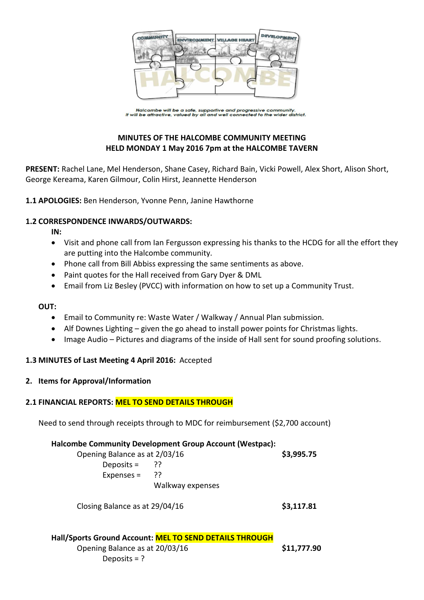

Halcombe will be a safe, supportive and progressive community.<br>It will be attractive, valued by all and well connected to the wider district.

# **MINUTES OF THE HALCOMBE COMMUNITY MEETING HELD MONDAY 1 May 2016 7pm at the HALCOMBE TAVERN**

**PRESENT:** Rachel Lane, Mel Henderson, Shane Casey, Richard Bain, Vicki Powell, Alex Short, Alison Short, George Kereama, Karen Gilmour, Colin Hirst, Jeannette Henderson

**1.1 APOLOGIES:** Ben Henderson, Yvonne Penn, Janine Hawthorne

#### **1.2 CORRESPONDENCE INWARDS/OUTWARDS:**

**IN:** 

- Visit and phone call from Ian Fergusson expressing his thanks to the HCDG for all the effort they are putting into the Halcombe community.
- Phone call from Bill Abbiss expressing the same sentiments as above.
- Paint quotes for the Hall received from Gary Dyer & DML
- Email from Liz Besley (PVCC) with information on how to set up a Community Trust.

#### **OUT:**

- Email to Community re: Waste Water / Walkway / Annual Plan submission.
- Alf Downes Lighting given the go ahead to install power points for Christmas lights.
- Image Audio Pictures and diagrams of the inside of Hall sent for sound proofing solutions.

#### **1.3 MINUTES of Last Meeting 4 April 2016:** Accepted

#### **2. Items for Approval/Information**

#### **2.1 FINANCIAL REPORTS: MEL TO SEND DETAILS THROUGH**

Need to send through receipts through to MDC for reimbursement (\$2,700 account)

#### **Halcombe Community Development Group Account (Westpac):**

| Opening Balance as at 2/03/16 |                  | \$3,995.75 |
|-------------------------------|------------------|------------|
| Deposits = $?$ ?              |                  |            |
| Expenses = $?$                |                  |            |
|                               | Walkway expenses |            |
|                               |                  |            |

Closing Balance as at 29/04/16 **\$3,117.81**

# **Hall/Sports Ground Account: MEL TO SEND DETAILS THROUGH** Opening Balance as at 20/03/16 **\$11,777.90** Deposits = ?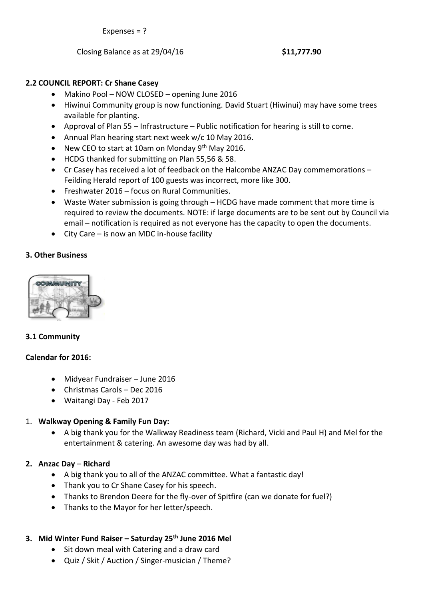Expenses = ?

Closing Balance as at 29/04/16 **\$11,777.90**

# **2.2 COUNCIL REPORT: Cr Shane Casey**

- Makino Pool NOW CLOSED opening June 2016
- Hiwinui Community group is now functioning. David Stuart (Hiwinui) may have some trees available for planting.
- Approval of Plan 55 Infrastructure Public notification for hearing is still to come.
- Annual Plan hearing start next week w/c 10 May 2016.
- New CEO to start at 10am on Monday 9<sup>th</sup> May 2016.
- HCDG thanked for submitting on Plan 55,56 & 58.
- Cr Casey has received a lot of feedback on the Halcombe ANZAC Day commemorations Feilding Herald report of 100 guests was incorrect, more like 300.
- Freshwater 2016 focus on Rural Communities.
- Waste Water submission is going through HCDG have made comment that more time is required to review the documents. NOTE: if large documents are to be sent out by Council via email – notification is required as not everyone has the capacity to open the documents.
- City Care is now an MDC in-house facility

## **3. Other Business**



## **3.1 Community**

## **Calendar for 2016:**

- Midyear Fundraiser June 2016
- Christmas Carols Dec 2016
- Waitangi Day Feb 2017

## 1. **Walkway Opening & Family Fun Day:**

 A big thank you for the Walkway Readiness team (Richard, Vicki and Paul H) and Mel for the entertainment & catering. An awesome day was had by all.

## **2. Anzac Day** – **Richard**

- A big thank you to all of the ANZAC committee. What a fantastic day!
- Thank you to Cr Shane Casey for his speech.
- Thanks to Brendon Deere for the fly-over of Spitfire (can we donate for fuel?)
- Thanks to the Mayor for her letter/speech.

## **3. Mid Winter Fund Raiser – Saturday 25th June 2016 Mel**

- Sit down meal with Catering and a draw card
- Quiz / Skit / Auction / Singer-musician / Theme?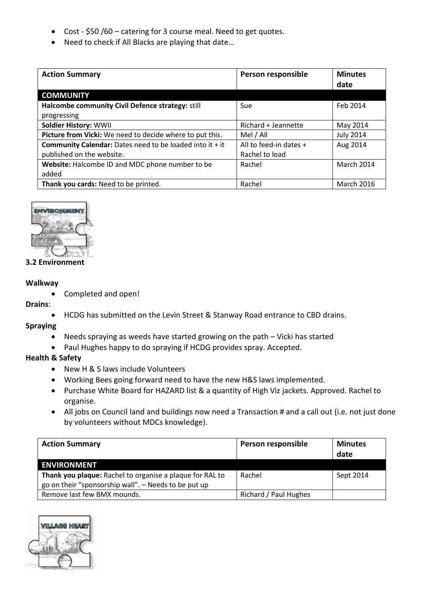- Cost \$50 /60 catering for 3 course meal. Need to get quotes.
- Need to check if All Blacks are playing that date...

| <b>Action Summary</b>                                             | Person responsible     | <b>Minutes</b><br>date |
|-------------------------------------------------------------------|------------------------|------------------------|
| <b>COMMUNITY</b>                                                  |                        |                        |
| Halcombe community Civil Defence strategy: still                  | Sue                    | Feb 2014               |
| progressing                                                       |                        |                        |
| <b>Soldier History: WWII</b>                                      | Richard + Jeannette    | May 2014               |
| Picture from Vicki: We need to decide where to put this.          | Mel / All              | <b>July 2014</b>       |
| <b>Community Calendar:</b> Dates need to be loaded into it $+$ it | All to feed-in dates + | Aug 2014               |
| published on the website.                                         | Rachel to load         |                        |
| Website: Halcombe ID and MDC phone number to be                   | Rachel                 | March 2014             |
| added                                                             |                        |                        |
| Thank you cards: Need to be printed.                              | Rachel                 | <b>March 2016</b>      |



#### **3.2 Environment**

#### **Walkway**

Completed and open!

#### **Drains**:

HCDG has submitted on the Levin Street & Stanway Road entrance to CBD drains.

#### **Spraying**

- Needs spraying as weeds have started growing on the path Vicki has started
- Paul Hughes happy to do spraying if HCDG provides spray. Accepted.

## **Health & Safety**

- New H & S laws include Volunteers
- Working Bees going forward need to have the new H&S laws implemented.
- Purchase White Board for HAZARD list & a quantity of High Viz jackets. Approved. Rachel to organise.
- All jobs on Council land and buildings now need a Transaction # and a call out (i.e. not just done by volunteers without MDCs knowledge).

| <b>Action Summary</b>                                    | Person responsible    | <b>Minutes</b><br>date |
|----------------------------------------------------------|-----------------------|------------------------|
| <b>ENVIRONMENT</b>                                       |                       |                        |
| Thank you plaque: Rachel to organise a plaque for RAL to | Rachel                | Sept 2014              |
| go on their "sponsorship wall". - Needs to be put up     |                       |                        |
| Remove last few BMX mounds.                              | Richard / Paul Hughes |                        |

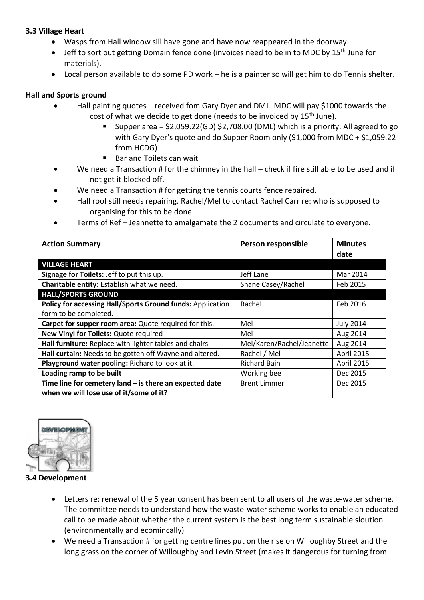## **3.3 Village Heart**

- Wasps from Hall window sill have gone and have now reappeared in the doorway.
- Jeff to sort out getting Domain fence done (invoices need to be in to MDC by 15<sup>th</sup> June for materials).
- Local person available to do some PD work he is a painter so will get him to do Tennis shelter.

## **Hall and Sports ground**

- Hall painting quotes received fom Gary Dyer and DML. MDC will pay \$1000 towards the cost of what we decide to get done (needs to be invoiced by 15<sup>th</sup> June).
	- Supper area = \$2,059.22(GD) \$2,708.00 (DML) which is a priority. All agreed to go with Gary Dyer's quote and do Supper Room only (\$1,000 from MDC + \$1,059.22 from HCDG)
	- Bar and Toilets can wait
- We need a Transaction # for the chimney in the hall check if fire still able to be used and if not get it blocked off.
- We need a Transaction # for getting the tennis courts fence repaired.
- Hall roof still needs repairing. Rachel/Mel to contact Rachel Carr re: who is supposed to organising for this to be done.
- Terms of Ref Jeannette to amalgamate the 2 documents and circulate to everyone.

| <b>Action Summary</b>                                      | Person responsible        | <b>Minutes</b>   |
|------------------------------------------------------------|---------------------------|------------------|
|                                                            |                           | date             |
| <b>VILLAGE HEART</b>                                       |                           |                  |
| Signage for Toilets: Jeff to put this up.                  | Jeff Lane                 | Mar 2014         |
| Charitable entity: Establish what we need.                 | Shane Casey/Rachel        | Feb 2015         |
| <b>HALL/SPORTS GROUND</b>                                  |                           |                  |
| Policy for accessing Hall/Sports Ground funds: Application | Rachel                    | Feb 2016         |
| form to be completed.                                      |                           |                  |
| Carpet for supper room area: Quote required for this.      | Mel                       | <b>July 2014</b> |
| New Vinyl for Toilets: Quote required                      | Mel                       | Aug 2014         |
| Hall furniture: Replace with lighter tables and chairs     | Mel/Karen/Rachel/Jeanette | Aug 2014         |
| Hall curtain: Needs to be gotten off Wayne and altered.    | Rachel / Mel              | April 2015       |
| Playground water pooling: Richard to look at it.           | <b>Richard Bain</b>       | April 2015       |
| Loading ramp to be built                                   | Working bee               | Dec 2015         |
| Time line for cemetery land $-$ is there an expected date  | <b>Brent Limmer</b>       | Dec 2015         |
| when we will lose use of it/some of it?                    |                           |                  |



**3.4 Development**

- Letters re: renewal of the 5 year consent has been sent to all users of the waste-water scheme. The committee needs to understand how the waste-water scheme works to enable an educated call to be made about whether the current system is the best long term sustainable sloution (environmentally and ecomincally)
- We need a Transaction # for getting centre lines put on the rise on Willoughby Street and the long grass on the corner of Willoughby and Levin Street (makes it dangerous for turning from